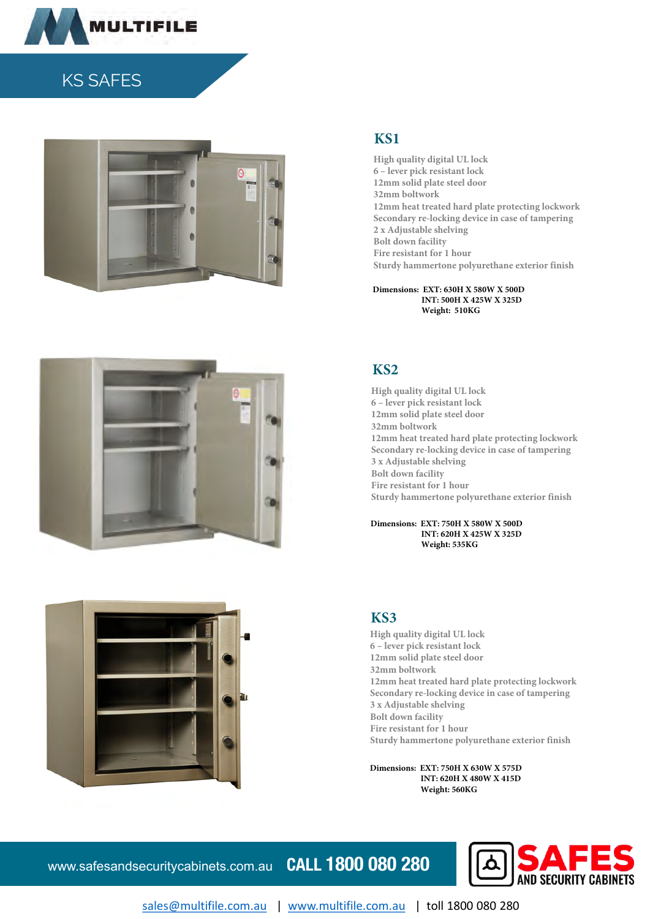

# KS SAFES





High quality digital UL lock 6 – lever pick resistant lock 12mm solid plate steel door 32mm boltwork 12mm heat treated hard plate protecting lockwork Secondary re-locking device in case of tampering 2 x Adjustable shelving Bolt down facility Fire resistant for 1 hour Sturdy hammertone polyurethane exterior finish

 **INT: 500H X 425W X 325D Weight: 510KG Dimensions: EXT: 630H X 580W X 500D**



High quality digital UL lock 6 – lever pick resistant lock 12mm solid plate steel door 32mm boltwork 12mm heat treated hard plate protecting lockwork Secondary re-locking device in case of tampering 3 x Adjustable shelving Bolt down facility Fire resistant for 1 hour Sturdy hammertone polyurethane exterior finish

#### **INT: 620H X 425W X 325D Weight: 535KG Dimensions: EXT: 750H X 580W X 500D**



High quality digital UL lock 6 – lever pick resistant lock 12mm solid plate steel door 32mm boltwork 12mm heat treated hard plate protecting lockwork Secondary re-locking device in case of tampering 3 x Adjustable shelving Bolt down facility Fire resistant for 1 hour Sturdy hammertone polyurethane exterior finish

 **INT: 620H X 480W X 415D Weight: 560KG Dimensions: EXT: 750H X 630W X 575D**